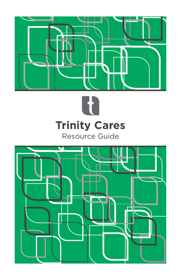



# **Trinity Cares**

Resource Guide

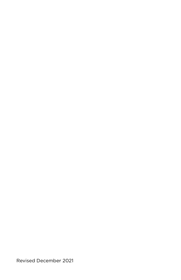Revised December 2021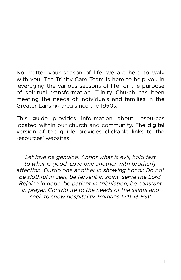No matter your season of life, we are here to walk with you. The Trinity Care Team is here to help you in leveraging the various seasons of life for the purpose of spiritual transformation. Trinity Church has been meeting the needs of individuals and families in the Greater Lansing area since the 1950s.

This guide provides information about resources located within our church and community. The digital version of the guide provides clickable links to the resources' websites.

*Let love be genuine. Abhor what is evil; hold fast to what is good. Love one another with brotherly affection. Outdo one another in showing honor. Do not be slothful in zeal, be fervent in spirit, serve the Lord. Rejoice in hope, be patient in tribulation, be constant in prayer. Contribute to the needs of the saints and seek to show hospitality. Romans 12:9-13 ESV*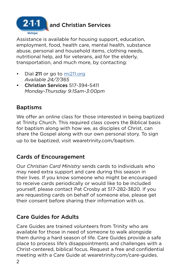

# **2.1.1 and Christian Services**

Assistance is available for housing support, education, employment, food, health care, mental health, substance abuse, personal and household items, clothing needs, nutritional help, aid for veterans, aid for the elderly, transportation, and much more, by contacting:

- Dial 211 or go to [mi211.org](https://www.mi211.org/) *Available 24/7/365*
- Christian Services 517-394-5411 *Monday-Thursday 9:15am-3:00pm*

# Baptisms

We offer an online class for those interested in being baptized at Trinity Church. This required class covers the Biblical basis for baptism along with how we, as disciples of Christ, can share the Gospel along with our own personal story. To sign up to be baptized, visit wearetrinity.com/baptism.

# Cards of Encouragement

Our *Christian Card Ministry* sends cards to individuals who may need extra support and care during this season in their lives. If you know someone who might be encouraged to receive cards periodically or would like to be included yourself, please contact Pat Crosby at 517-282-3820. If you are requesting cards on behalf of someone else, please get their consent before sharing their information with us.

# Care Guides for Adults

Care Guides are trained volunteers from Trinity who are available for those in need of someone to walk alongside them during a hard season of life. Care Guides provide a safe place to process life's disappointments and challenges with a Christ-centered, biblical focus. Request a free and confidential meeting with a Care Guide at wearetrinity.com/care-guides.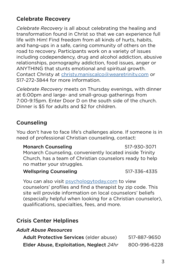# Celebrate Recovery

*Celebrate Recovery* is all about celebrating the healing and transformation found in Christ so that we can experience full life with Him! Find freedom from all kinds of hurts, habits, and hang-ups in a safe, caring community of others on the road to recovery. Participants work on a variety of issues including codependency, drug and alcohol addiction, abusive relationships, pornography addiction, food issues, anger or ANYTHING that stunts emotional and spiritual growth. Contact Christy at [christy.maniscalco@wearetrinity.com](mailto:christy.maniscalco@wearetrinity.com) or 517-272-3844 for more information.

*Celebrate Recovery* meets on Thursday evenings, with dinner at 6:00pm and large- and small-group gatherings from 7:00-9:15pm. Enter Door D on the south side of the church. Dinner is \$5 for adults and \$2 for children.

#### Counseling

You don't have to face life's challenges alone. If someone is in need of professional Christian counseling, contact:

#### Monarch Counseling 517-930-3071 Monarch Counseling, conveniently located inside Trinity Church, has a team of Christian counselors ready to help no matter your struggles.

#### Wellspring Counseling 617-336-4335

You can also visit [psychologytoday.com](https://www.psychologytoday.com/us) to view counselors' profiles and find a therapist by zip code. This site will provide information on local counselors' beliefs (especially helpful when looking for a Christian counselor), qualifications, specialties, fees, and more.

#### Crisis Center Helplines

| Adult Abuse Resources                   |              |
|-----------------------------------------|--------------|
| Adult Protective Services (elder abuse) | 517-887-9650 |
| Elder Abuse, Exploitation, Neglect 24hr | 800-996-6228 |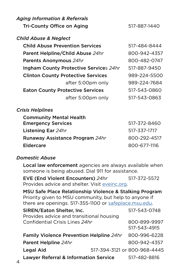| <b>Aging Information &amp; Referrals</b>  |              |
|-------------------------------------------|--------------|
| Tri-County Office on Aging                | 517-887-1440 |
| <b>Child Abuse &amp; Neglect</b>          |              |
| <b>Child Abuse Prevention Services</b>    | 517-484-8444 |
| Parent Helpline/Child Abuse 24hr          | 800-942-4357 |
| Parents Anonymous 24hr                    | 800-482-0747 |
| Ingham County Protective Services 24hr    | 517-887-9450 |
| <b>Clinton County Protective Services</b> | 989-224-5500 |
| after 5:00pm only                         | 989-224-7684 |
| <b>Eaton County Protective Services</b>   | 517-543-0860 |
| after 5:00pm only                         | 517-543-0863 |
| <b>Crisis Helplines</b>                   |              |
| <b>Community Mental Health</b>            |              |

| <b>Emergency Services</b>       | 517-372-8460 |
|---------------------------------|--------------|
| Listening Ear 24hr              | 517-337-1717 |
| Runaway Assistance Program 24hr | 800-292-4517 |
| <b>Eldercare</b>                | 800-677-1116 |

#### *Domestic Abuse*

Local law enforcement agencies are always available when someone is being abused. Dial 911 for assistance.

EVE (End Violent Encounters) *24hr* 517-372-5572 Provides advice and shelter. Visit [eveinc.org](https://www.eveinc.org/).

MSU Safe Place Relationship Violence & Stalking Program Priority given to MSU community, but help to anyone if there are openings. 517-355-1100 or [safeplace.msu.edu](https://safeplace.msu.edu/).

| SIREN/Eaton Shelter, Inc.<br>Provides advice and transitional housing<br>Confidential Crisis Lines 24hr |                              | 517-543-0748 |
|---------------------------------------------------------------------------------------------------------|------------------------------|--------------|
|                                                                                                         |                              | 800-899-9997 |
|                                                                                                         |                              | 517-543-4915 |
| Family Violence Prevention Helpline 24hr                                                                |                              | 800-996-6228 |
| Parent Helpline 24hr                                                                                    |                              | 800-942-4357 |
| <b>Legal Aid</b>                                                                                        | 517-394-3121 or 800-968-4445 |              |
| <b>Lawyer Referral &amp; Information Service</b>                                                        |                              | 517-482-8816 |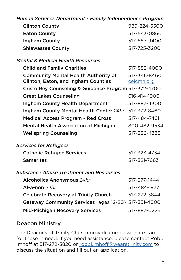| Human Services Department - Family Independence Program |              |
|---------------------------------------------------------|--------------|
| <b>Clinton County</b>                                   | 989-224-5500 |
| <b>Eaton County</b>                                     | 517-543-0860 |
| Ingham County                                           | 517-887-9400 |
| <b>Shiawassee County</b>                                | 517-725-3200 |
| <b>Mental &amp; Medical Health Resources</b>            |              |
| <b>Child and Family Charities</b>                       | 517-882-4000 |
| <b>Community Mental Health Authority of</b>             | 517-346-8460 |
| <b>Clinton, Eaton, and Ingham Counties</b>              | ceicmh.org   |
| Cristo Rey Counseling & Guidance Program 517-372-4700   |              |
| <b>Great Lakes Counseling</b>                           | 616-414-1900 |
| <b>Ingham County Health Department</b>                  | 517-887-4300 |
| Ingham County Mental Health Center 24hr                 | 517-372-8460 |
| <b>Medical Access Program - Red Cross</b>               | 517-484-7461 |
| <b>Mental Health Association of Michigan</b>            | 800-482-9534 |
| <b>Wellspring Counseling</b>                            | 517-336-4335 |
| <b>Services for Refugees</b>                            |              |
| <b>Catholic Refugee Services</b>                        | 517-323-4734 |
| <b>Samaritas</b>                                        | 517-321-7663 |
| <b>Substance Abuse Treatment and Resources</b>          |              |
| <b>Alcoholics Anonymous 24hr</b>                        | 517-377-1444 |
| Al-a-non $24hr$                                         | 517-484-1977 |
| <b>Celebrate Recovery at Trinity Church</b>             | 517-272-3844 |
| Gateway Community Services (ages 12-20) 517-351-4000    |              |
| <b>Mid-Michigan Recovery Services</b>                   | 517-887-0226 |

## Deacon Ministry

The Deacons of Trinity Church provide compassionate care for those in need. If you need assistance, please contact Robbi Imhoff at 517-272-3820 or robbi.imhoff[@wearetrinity.com](mailto:robbi.imhoff%40wearetrinity.com?subject=) to discuss the situation and fill out an application.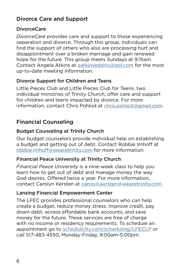# Divorce Care and Support

#### DivorceCare

*DivorceCare* provides care and support to those experiencing separation and divorce. Through this group, individuals can find the support of others who also are processing hurt and disappointment over a broken marriage and gain renewed hope for the future. This group meets Sundays at 9:15am. Contact Angela Atkins at [aatkinseddins@aol.com](mailto:aatkinseddins@aol.com) for the most up-to-date meeting information.

#### Divorce Support for Children and Teens

Little Pieces Club and Little Pieces Club for Teens, two individual ministries of Trinity Church, offer care and support for children and teens impacted by divorce. For more information, contact Chris Pohlod at chris.pohlod@gmail.com.

# Financial Counseling

#### Budget Counseling at Trinity Church

Our budget counselors provide individual help on establishing a budget and getting out of debt. Contact Robbie Imhoff at robbie.imhoff@wearetrinity.com for more information.

#### Financial Peace University at Trinity Church

*Financial Peace University* is a nine-week class to help you learn how to get out of debt and manage money the way God desires. Offered twice a year. For more information, contact Carolyn Kersten at carolyn.kersten@wearetrinity.com.

#### Lansing Financial Empowerment Center

The LFEC provides professional counselors who can help create a budget, reduce money stress, improve credit, pay down debt, access affordable bank accounts, and save money for the future. These services are free of charge with no income or residency requirements. To schedule an appointment go to [schedulicity.com/scheduling/LFECLP](https://schedulicity.com/scheduling/LFECLP) or call 517-483-4550, Monday-Friday, 9:00am-5:00pm.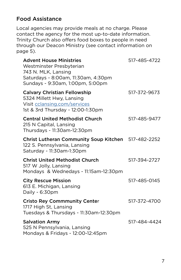# Food Assistance

Local agencies may provide meals at no charge. Please contact the agency for the most up-to-date information. Trinity Church also offers food boxes to people in need through our Deacon Ministry (see contact information on page 5).

| <b>Advent House Ministries</b><br>Westminster Presbyterian<br>743 N. MLK, Lansing<br>Saturdays - 8:00am, 11:30am, 4:30pm<br>Sundays - 9:30am, 1:00pm, 5:00pm | 517-485-4722 |
|--------------------------------------------------------------------------------------------------------------------------------------------------------------|--------------|
| <b>Calvary Christian Fellowship</b><br>5324 Millett Hwy, Lansing<br>Visit cclansing.com/services<br>1st & 3rd Thursday - 12:00-1:30pm                        | 517-372-9673 |
| <b>Central United Methodist Church</b><br>215 N Capital, Lansing<br>Thursdays - 11:30am-12:30pm                                                              | 517-485-9477 |
| Christ Lutheran Community Soup Kitchen 517-482-2252<br>122 S. Pennsylvania, Lansing<br>Saturday - 11:30am-1:30pm                                             |              |
| <b>Christ United Methodist Church</b><br>517 W Jolly, Lansing<br>Mondays & Wednedays - 11:15am-12:30pm                                                       | 517-394-2727 |
| <b>City Rescue Mission</b><br>613 E. Michigan, Lansing<br>Daily - 6:30pm                                                                                     | 517-485-0145 |
| <b>Cristo Rey Commmunity Center</b><br>1717 High St, Lansing<br>Tuesdays & Thursdays - 11:30am-12:30pm                                                       | 517-372-4700 |
| <b>Salvation Army</b><br>525 N Pennsylvania, Lansing<br>Mondays & Fridays - 12:00-12:45pm                                                                    | 517-484-4424 |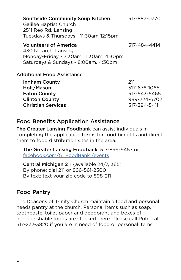| <b>Southside Community Soup Kitchen</b><br><b>Galilee Baptist Church</b><br>2511 Reo Rd, Lansing<br>Tuesdays & Thursdays - 11:30am-12:15pm | 517-887-0770 |
|--------------------------------------------------------------------------------------------------------------------------------------------|--------------|
| <b>Volunteers of America</b><br>430 N Larch, Lansing<br>Monday-Friday - 7:30am, 11:30am, 4:30pm<br>Saturdays & Sundays - 8:00am, 4:30pm    | 517-484-4414 |
| Additional Food Assistance                                                                                                                 |              |
| Ingham County                                                                                                                              | 211          |
| Holt/Mason                                                                                                                                 | 517-676-1065 |
| <b>Eaton County</b>                                                                                                                        | 517-543-5465 |

Clinton County 989-224-6702 Christian Services 517-394-5411

#### Food Benefits Application Assistance

The Greater Lansing Foodbank can assist individuals in completing the application forms for food benefits and direct them to food distribution sites in the area.

The Greater Lansing Foodbank, 517-899-9457 or [facebook.com/GLFoodBank1/events](https://www.facebook.com/GLFoodBank1/events/)

Central Michigan 211 (available 24/7, 365) By phone: dial 211 or 866-561-2500 By text: text your zip code to 898-211

#### Food Pantry

The Deacons of Trinity Church maintain a food and personal needs pantry at the church. Personal items such as soap, toothpaste, toilet paper and deodorant and boxes of non-perishable foods are stocked there. Please call Robbi at 517-272-3820 if you are in need of food or personal items.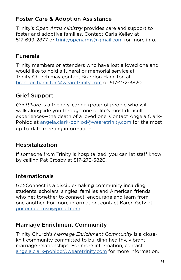# Foster Care & Adoption Assistance

Trinity's *Open Arms Ministry* provides care and support to foster and adoptive families. Contact Carla Kelley at 517-699-2877 or [trinityopenarms@gmail.com](mailtto:trinityopenarms@gmail.com) for more info.

# Funerals

Trinity members or attenders who have lost a loved one and would like to hold a funeral or memorial service at Trinity Church may contact Brandon Hamilton at brandon.hamilto[n@wearetrinity.com](mailto:brandon.hamilton%40wearetrinity.com?subject=) or 517-272-3820.

# Grief Support

*GriefShare* is a friendly, caring group of people who will walk alongside you through one of life's most difficult experiences—the death of a loved one. Contact Angela Clark-Pohlod at angela.clark-pohlod@wearetrinity.com for the most up-to-date meeting information.

# Hospitalization

If someone from Trinity is hospitalized, you can let staff know by calling Pat Crosby at 517-272-3820.

# Internationals

Go>Connect is a disciple-making community including students, scholars, singles, families and American friends who get together to connect, encourage and learn from one another. For more information, contact Karen Getz at goconnectmsu@gmail.com.

# Marriage Enrichment Community

Trinity Church's *Marriage Enrichment Community* is a closeknit community committed to building healthy, vibrant marriage relationships. For more information, contact angela.clark-pohlod@wearetrinity.com for more information.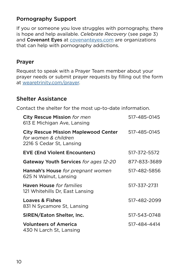# Pornography Support

If you or someone you love struggles with pornography, there is hope and help available. *Celebrate Recovery* (see page 3) and Covenant Eyes at **covenanteyes.com** are organizations that can help with pornography addictions.

#### Prayer

Request to speak with a Prayer Team member about your prayer needs or submit prayer requests by filling out the form at wearetrinity.com/prayer.

#### Shelter Assistance

Contact the shelter for the most up-to-date information.

| City Rescue Mission for men<br>613 E Michigan Ave, Lansing                                      | 517-485-0145 |
|-------------------------------------------------------------------------------------------------|--------------|
| <b>City Rescue Mission Maplewood Center</b><br>for women & children<br>2216 S Cedar St, Lansing | 517-485-0145 |
| <b>EVE (End Violent Encounters)</b>                                                             | 517-372-5572 |
| Gateway Youth Services for ages 12-20                                                           | 877-833-3689 |
| Hannah's House for pregnant women<br>625 N Walnut, Lansing                                      | 517-482-5856 |
| <b>Haven House</b> for families<br>121 Whitehills Dr, East Lansing                              | 517-337-2731 |
| Loaves & Fishes<br>831 N Sycamore St, Lansing                                                   | 517-482-2099 |
| SIREN/Eaton Shelter, Inc.                                                                       | 517-543-0748 |
| <b>Volunteers of America</b><br>430 N Larch St, Lansing                                         | 517-484-4414 |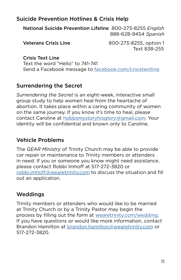# Suicide Prevention Hotlines & Crisis Help

National Suicide Prevention Lifeline 800-273-8255 *English* 888-628-9454 *Spanish*

Veterans Crisis Line 800-273-8255, option 1 Text 838-255

Crisis Text Line Text the word "Hello" to 741-741 Send a Facebook message to [facebook.com/crisistextline](https://www.facebook.com/crisistextline)

#### Surrendering the Secret

*Surrendering the Secret* is an eight-week, interactive small group study to help women heal from the heartache of abortion. It takes place within a caring community of women on the same journey. If you know it's time to heal, please contact Caroline at hobbsmystoryhisglory@gmail.com. Your identity will be confidential and known only to Caroline.

## Vehicle Problems

The *GEAR Ministry* of Trinity Church may be able to provide car repair or maintenance to Trinity members or attenders in need. If you or someone you know might need assistance, please contact Robbi Imhoff at 517-272-3820 or robbi.imhoff[@wearetrinity.com](mailto:robbi.imhoff%40wearetrinity.com?subject=) to discuss the situation and fill out an application.

#### Weddings

Trinity members or attenders who would like to be married at Trinity Church or by a Trinity Pastor may begin the process by filling out the form at [wearetrinity.com/wedding](https://trinitywired.ccbchurch.com/goto/forms/79/responses/new). If you have questions or would like more information, contact Brandon Hamilton at brandon.hamilton[@wearetrinity.com](mailto:mailto:bob.wessels%40wearetrinity.com?subject=) or 517-272-3820.